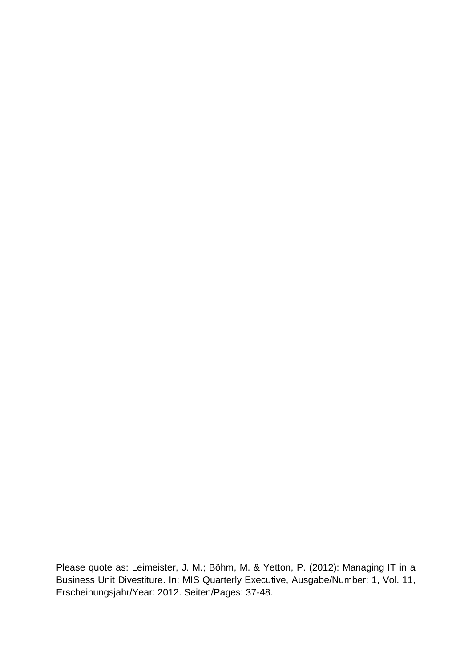Please quote as: Leimeister, J. M.; Böhm, M. & Yetton, P. (2012): Managing IT in a Business Unit Divestiture. In: MIS Quarterly Executive, Ausgabe/Number: 1, Vol. 11, Erscheinungsjahr/Year: 2012. Seiten/Pages: 37-48.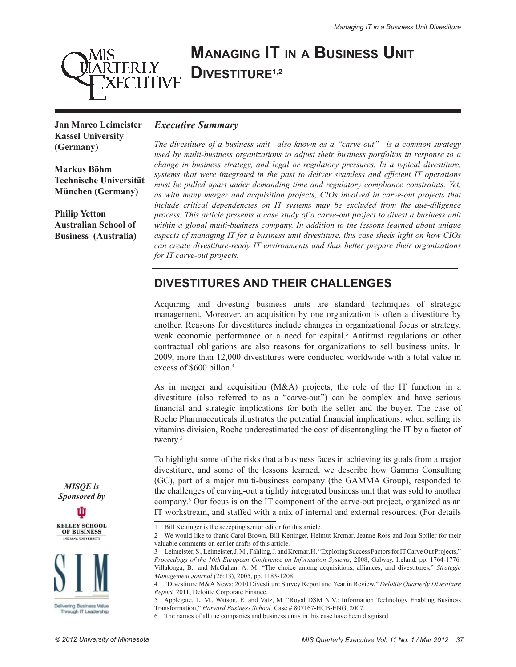

**Jan Marco Leimeister Kassel University (Germany)**

*Executive Summary*

**Markus Böhm Technische Universität München (Germany)**

**Philip Yetton Australian School of Business (Australia)**

*The divestiture of a business unit—also known as a "carve-out"—is a common strategy used by multi-business organizations to adjust their business portfolios in response to a change in business strategy, and legal or regulatory pressures. In a typical divestiture, systems that were integrated in the past to deliver seamless and efficient IT operations must be pulled apart under demanding time and regulatory compliance constraints. Yet, as with many merger and acquisition projects, CIOs involved in carve-out projects that include critical dependencies on IT systems may be excluded from the due-diligence process. This article presents a case study of a carve-out project to divest a business unit within a global multi-business company. In addition to the lessons learned about unique aspects of managing IT for a business unit divestiture, this case sheds light on how CIOs can create divestiture-ready IT environments and thus better prepare their organizations for IT carve-out projects.*

## **DIVESTITURES AND THEIR CHALLENGES**

Acquiring and divesting business units are standard techniques of strategic management. Moreover, an acquisition by one organization is often a divestiture by another. Reasons for divestitures include changes in organizational focus or strategy, weak economic performance or a need for capital.<sup>3</sup> Antitrust regulations or other contractual obligations are also reasons for organizations to sell business units. In 2009, more than 12,000 divestitures were conducted worldwide with a total value in excess of \$600 billon.4

As in merger and acquisition (M&A) projects, the role of the IT function in a divestiture (also referred to as a "carve-out") can be complex and have serious financial and strategic implications for both the seller and the buyer. The case of Roche Pharmaceuticals illustrates the potential financial implications: when selling its vitamins division, Roche underestimated the cost of disentangling the IT by a factor of twenty.<sup>5</sup>

To highlight some of the risks that a business faces in achieving its goals from a major divestiture, and some of the lessons learned, we describe how Gamma Consulting (GC), part of a major multi-business company (the GAMMA Group), responded to the challenges of carving-out a tightly integrated business unit that was sold to another company.6 Our focus is on the IT component of the carve-out project, organized as an IT workstream, and staffed with a mix of internal and external resources. (For details







<sup>1</sup> Bill Kettinger is the accepting senior editor for this article.

<sup>2</sup> We would like to thank Carol Brown, Bill Kettinger, Helmut Krcmar, Jeanne Ross and Joan Spiller for their valuable comments on earlier drafts of this article.

<sup>3</sup> Leimeister, S., Leimeister, J. M., Fähling, J. and Krcmar, H. "Exploring Success Factors for IT Carve Out Projects," *Proceedings of the 16th European Conference on Information Systems,* 2008, Galway, Ireland, pp. 1764-1776. Villalonga, B., and McGahan, A. M. "The choice among acquisitions, alliances, and divestitures," *Strategic Management Journal* (26:13), 2005, pp. 1183-1208.

<sup>4</sup> "Divestiture M&A News: 2010 Divestiture Survey Report and Year in Review," *Deloitte Quarterly Divestiture Report,* 2011, Deloitte Corporate Finance.

<sup>5</sup> Applegate, L. M., Watson, E. and Vatz, M. "Royal DSM N.V.: Information Technology Enabling Business Transformation," *Harvard Business School,* Case # 807167-HCB-ENG, 2007.

<sup>6</sup> The names of all the companies and business units in this case have been disguised.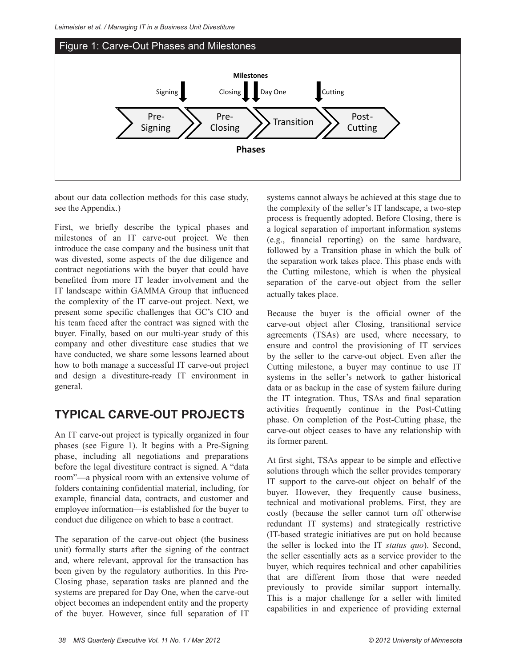

about our data collection methods for this case study, see the Appendix.)

First, we briefly describe the typical phases and milestones of an IT carve-out project. We then introduce the case company and the business unit that was divested, some aspects of the due diligence and contract negotiations with the buyer that could have benefited from more IT leader involvement and the IT landscape within GAMMA Group that influenced the complexity of the IT carve-out project. Next, we present some specific challenges that GC's CIO and his team faced after the contract was signed with the buyer. Finally, based on our multi-year study of this company and other divestiture case studies that we have conducted, we share some lessons learned about how to both manage a successful IT carve-out project and design a divestiture-ready IT environment in general.

# **TYPICAL CARVE-OUT PROJECTS**

An IT carve-out project is typically organized in four phases (see Figure 1). It begins with a Pre-Signing phase, including all negotiations and preparations before the legal divestiture contract is signed. A "data room"—a physical room with an extensive volume of folders containing confidential material, including, for example, financial data, contracts, and customer and employee information—is established for the buyer to conduct due diligence on which to base a contract.

The separation of the carve-out object (the business unit) formally starts after the signing of the contract and, where relevant, approval for the transaction has been given by the regulatory authorities. In this Pre-Closing phase, separation tasks are planned and the systems are prepared for Day One, when the carve-out object becomes an independent entity and the property of the buyer. However, since full separation of IT systems cannot always be achieved at this stage due to the complexity of the seller's IT landscape, a two-step process is frequently adopted. Before Closing, there is a logical separation of important information systems (e.g., financial reporting) on the same hardware, followed by a Transition phase in which the bulk of the separation work takes place. This phase ends with the Cutting milestone, which is when the physical separation of the carve-out object from the seller actually takes place.

Because the buyer is the official owner of the carve-out object after Closing, transitional service agreements (TSAs) are used, where necessary, to ensure and control the provisioning of IT services by the seller to the carve-out object. Even after the Cutting milestone, a buyer may continue to use IT systems in the seller's network to gather historical data or as backup in the case of system failure during the IT integration. Thus, TSAs and final separation activities frequently continue in the Post-Cutting phase. On completion of the Post-Cutting phase, the carve-out object ceases to have any relationship with its former parent.

At first sight, TSAs appear to be simple and effective solutions through which the seller provides temporary IT support to the carve-out object on behalf of the buyer. However, they frequently cause business, technical and motivational problems. First, they are costly (because the seller cannot turn off otherwise redundant IT systems) and strategically restrictive (IT-based strategic initiatives are put on hold because the seller is locked into the IT *status quo*). Second, the seller essentially acts as a service provider to the buyer, which requires technical and other capabilities that are different from those that were needed previously to provide similar support internally. This is a major challenge for a seller with limited capabilities in and experience of providing external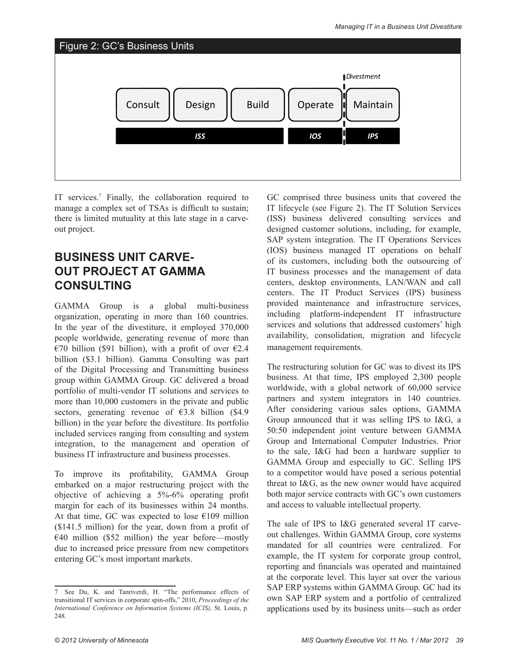

IT services.7 Finally, the collaboration required to manage a complex set of TSAs is difficult to sustain; there is limited mutuality at this late stage in a carveout project.

# **BUSINESS UNIT CARVE-OUT PROJECT AT GAMMA CONSULTING**

GAMMA Group is a global multi-business organization, operating in more than 160 countries. In the year of the divestiture, it employed 370,000 people worldwide, generating revenue of more than €70 billion (\$91 billion), with a profit of over €2.4 billion (\$3.1 billion). Gamma Consulting was part of the Digital Processing and Transmitting business group within GAMMA Group. GC delivered a broad portfolio of multi-vendor IT solutions and services to more than 10,000 customers in the private and public sectors, generating revenue of  $\epsilon$ 3.8 billion (\$4.9) billion) in the year before the divestiture. Its portfolio included services ranging from consulting and system integration, to the management and operation of business IT infrastructure and business processes.

To improve its profitability, GAMMA Group embarked on a major restructuring project with the objective of achieving a 5%-6% operating profit margin for each of its businesses within 24 months. At that time, GC was expected to lose  $€109$  million (\$141.5 million) for the year, down from a profit of  $E40$  million (\$52 million) the year before—mostly due to increased price pressure from new competitors entering GC's most important markets.

GC comprised three business units that covered the IT lifecycle (see Figure 2). The IT Solution Services (ISS) business delivered consulting services and designed customer solutions, including, for example, SAP system integration. The IT Operations Services (IOS) business managed IT operations on behalf of its customers, including both the outsourcing of IT business processes and the management of data centers, desktop environments, LAN/WAN and call centers. The IT Product Services (IPS) business provided maintenance and infrastructure services, including platform-independent IT infrastructure services and solutions that addressed customers' high availability, consolidation, migration and lifecycle management requirements.

The restructuring solution for GC was to divest its IPS business. At that time, IPS employed 2,300 people worldwide, with a global network of 60,000 service partners and system integrators in 140 countries. After considering various sales options, GAMMA Group announced that it was selling IPS to I&G, a 50:50 independent joint venture between GAMMA Group and International Computer Industries. Prior to the sale, I&G had been a hardware supplier to GAMMA Group and especially to GC. Selling IPS to a competitor would have posed a serious potential threat to I&G, as the new owner would have acquired both major service contracts with GC's own customers and access to valuable intellectual property.

The sale of IPS to I&G generated several IT carveout challenges. Within GAMMA Group, core systems mandated for all countries were centralized. For example, the IT system for corporate group control, reporting and financials was operated and maintained at the corporate level. This layer sat over the various SAP ERP systems within GAMMA Group. GC had its own SAP ERP system and a portfolio of centralized applications used by its business units—such as order

<sup>7</sup> See Du, K. and Tanriverdi, H. "The performance effects of transitional IT services in corporate spin-offs," 2010, *Proceedings of the International Conference on Information Systems (ICIS),* St. Louis, p. 248.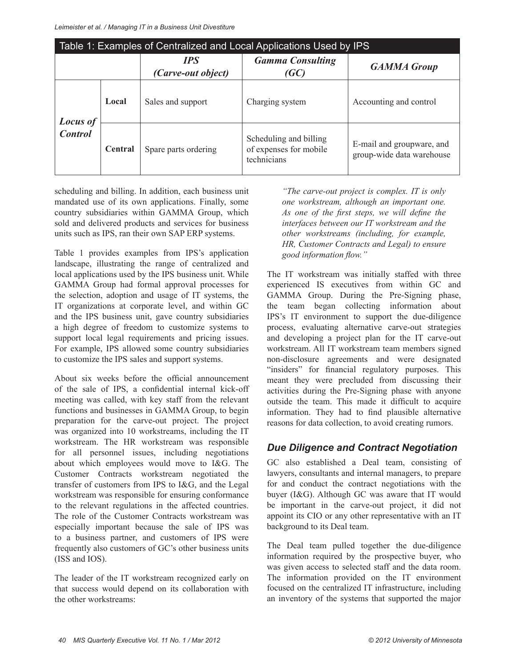| Table 1: Examples of Centralized and Local Applications Used by IPS |                |                                  |                                                                 |                                                        |
|---------------------------------------------------------------------|----------------|----------------------------------|-----------------------------------------------------------------|--------------------------------------------------------|
|                                                                     |                | <b>IPS</b><br>(Carve-out object) | <b>Gamma Consulting</b><br>(GC)                                 | <b>GAMMA Group</b>                                     |
| <b>Locus of</b><br><b>Control</b>                                   | Local          | Sales and support                | Charging system                                                 | Accounting and control                                 |
|                                                                     | <b>Central</b> | Spare parts ordering             | Scheduling and billing<br>of expenses for mobile<br>technicians | E-mail and groupware, and<br>group-wide data warehouse |

scheduling and billing. In addition, each business unit mandated use of its own applications. Finally, some country subsidiaries within GAMMA Group, which sold and delivered products and services for business units such as IPS, ran their own SAP ERP systems.

Table 1 provides examples from IPS's application landscape, illustrating the range of centralized and local applications used by the IPS business unit. While GAMMA Group had formal approval processes for the selection, adoption and usage of IT systems, the IT organizations at corporate level, and within GC and the IPS business unit, gave country subsidiaries a high degree of freedom to customize systems to support local legal requirements and pricing issues. For example, IPS allowed some country subsidiaries to customize the IPS sales and support systems.

About six weeks before the official announcement of the sale of IPS, a confidential internal kick-off meeting was called, with key staff from the relevant functions and businesses in GAMMA Group, to begin preparation for the carve-out project. The project was organized into 10 workstreams, including the IT workstream. The HR workstream was responsible for all personnel issues, including negotiations about which employees would move to I&G. The Customer Contracts workstream negotiated the transfer of customers from IPS to I&G, and the Legal workstream was responsible for ensuring conformance to the relevant regulations in the affected countries. The role of the Customer Contracts workstream was especially important because the sale of IPS was to a business partner, and customers of IPS were frequently also customers of GC's other business units (ISS and IOS).

The leader of the IT workstream recognized early on that success would depend on its collaboration with the other workstreams:

*"The carve-out project is complex. IT is only one workstream, although an important one. As one of the first steps, we will define the interfaces between our IT workstream and the other workstreams (including, for example, HR, Customer Contracts and Legal) to ensure good information flow."*

The IT workstream was initially staffed with three experienced IS executives from within GC and GAMMA Group. During the Pre-Signing phase, the team began collecting information about IPS's IT environment to support the due-diligence process, evaluating alternative carve-out strategies and developing a project plan for the IT carve-out workstream. All IT workstream team members signed non-disclosure agreements and were designated "insiders" for financial regulatory purposes. This meant they were precluded from discussing their activities during the Pre-Signing phase with anyone outside the team. This made it difficult to acquire information. They had to find plausible alternative reasons for data collection, to avoid creating rumors.

## *Due Diligence and Contract Negotiation*

GC also established a Deal team, consisting of lawyers, consultants and internal managers, to prepare for and conduct the contract negotiations with the buyer (I&G). Although GC was aware that IT would be important in the carve-out project, it did not appoint its CIO or any other representative with an IT background to its Deal team.

The Deal team pulled together the due-diligence information required by the prospective buyer, who was given access to selected staff and the data room. The information provided on the IT environment focused on the centralized IT infrastructure, including an inventory of the systems that supported the major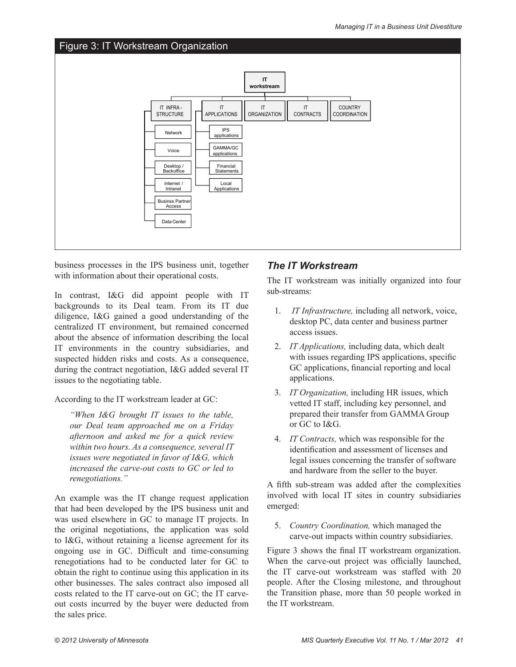#### Figure 3: IT Workstream Organization **IT workstream** IT INFRA - **STRUCTURE** IT APPLICATIONS IT ORGANIZATION IT CONTRACTS COUNTRY **COORDINATION** IPS applications GAMMA/GC applications Financial Statemen Local Application Network Voice Desktop / Backoffice Internet / Intranet **Businss Partne** Access Data Center

business processes in the IPS business unit, together with information about their operational costs.

In contrast, I&G did appoint people with IT backgrounds to its Deal team. From its IT due diligence, I&G gained a good understanding of the centralized IT environment, but remained concerned about the absence of information describing the local IT environments in the country subsidiaries, and suspected hidden risks and costs. As a consequence, during the contract negotiation, I&G added several IT issues to the negotiating table.

According to the IT workstream leader at GC:

*"When I&G brought IT issues to the table, our Deal team approached me on a Friday afternoon and asked me for a quick review within two hours. As a consequence, several IT issues were negotiated in favor of I&G, which increased the carve-out costs to GC or led to renegotiations."* 

An example was the IT change request application that had been developed by the IPS business unit and was used elsewhere in GC to manage IT projects. In the original negotiations, the application was sold to I&G, without retaining a license agreement for its ongoing use in GC. Difficult and time-consuming renegotiations had to be conducted later for GC to obtain the right to continue using this application in its other businesses. The sales contract also imposed all costs related to the IT carve-out on GC; the IT carveout costs incurred by the buyer were deducted from the sales price.

## *The IT Workstream*

The IT workstream was initially organized into four sub-streams:

- 1. *IT Infrastructure,* including all network, voice, desktop PC, data center and business partner access issues.
- 2. *IT Applications,* including data, which dealt with issues regarding IPS applications, specific GC applications, financial reporting and local applications.
- 3. *IT Organization,* including HR issues, which vetted IT staff, including key personnel, and prepared their transfer from GAMMA Group or GC to I&G.
- 4. *IT Contracts,* which was responsible for the identification and assessment of licenses and legal issues concerning the transfer of software and hardware from the seller to the buyer.

A fifth sub-stream was added after the complexities involved with local IT sites in country subsidiaries emerged:

5. *Country Coordination,* which managed the carve-out impacts within country subsidiaries.

Figure 3 shows the final IT workstream organization. When the carve-out project was officially launched, the IT carve-out workstream was staffed with 20 people. After the Closing milestone, and throughout the Transition phase, more than 50 people worked in the IT workstream.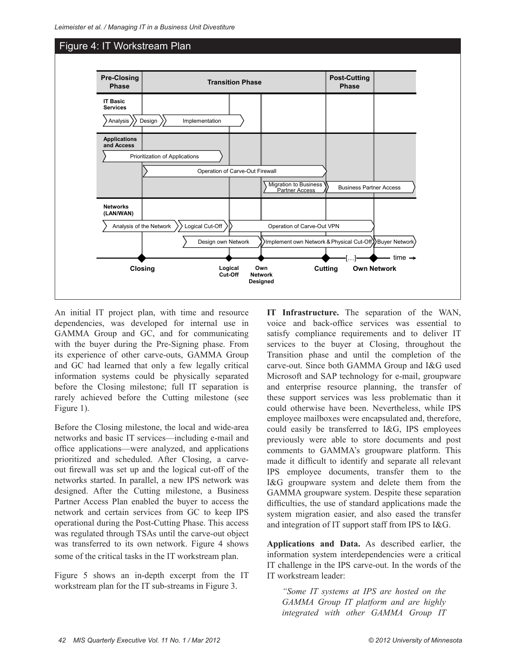

An initial IT project plan, with time and resource dependencies, was developed for internal use in GAMMA Group and GC, and for communicating with the buyer during the Pre-Signing phase. From its experience of other carve-outs, GAMMA Group and GC had learned that only a few legally critical information systems could be physically separated before the Closing milestone; full IT separation is rarely achieved before the Cutting milestone (see Figure 1).

Before the Closing milestone, the local and wide-area networks and basic IT services—including e-mail and office applications—were analyzed, and applications prioritized and scheduled. After Closing, a carveout firewall was set up and the logical cut-off of the networks started. In parallel, a new IPS network was designed. After the Cutting milestone, a Business Partner Access Plan enabled the buyer to access the network and certain services from GC to keep IPS operational during the Post-Cutting Phase. This access was regulated through TSAs until the carve-out object was transferred to its own network. Figure 4 shows some of the critical tasks in the IT workstream plan.

Figure 5 shows an in-depth excerpt from the IT workstream plan for the IT sub-streams in Figure 3.

**IT Infrastructure.** The separation of the WAN, voice and back-office services was essential to satisfy compliance requirements and to deliver IT services to the buyer at Closing, throughout the Transition phase and until the completion of the carve-out. Since both GAMMA Group and I&G used Microsoft and SAP technology for e-mail, groupware and enterprise resource planning, the transfer of these support services was less problematic than it could otherwise have been. Nevertheless, while IPS employee mailboxes were encapsulated and, therefore, could easily be transferred to I&G, IPS employees previously were able to store documents and post comments to GAMMA's groupware platform. This made it difficult to identify and separate all relevant IPS employee documents, transfer them to the I&G groupware system and delete them from the GAMMA groupware system. Despite these separation difficulties, the use of standard applications made the system migration easier, and also eased the transfer and integration of IT support staff from IPS to I&G.

**Applications and Data.** As described earlier, the information system interdependencies were a critical IT challenge in the IPS carve-out. In the words of the IT workstream leader:

*"Some IT systems at IPS are hosted on the GAMMA Group IT platform and are highly integrated with other GAMMA Group IT*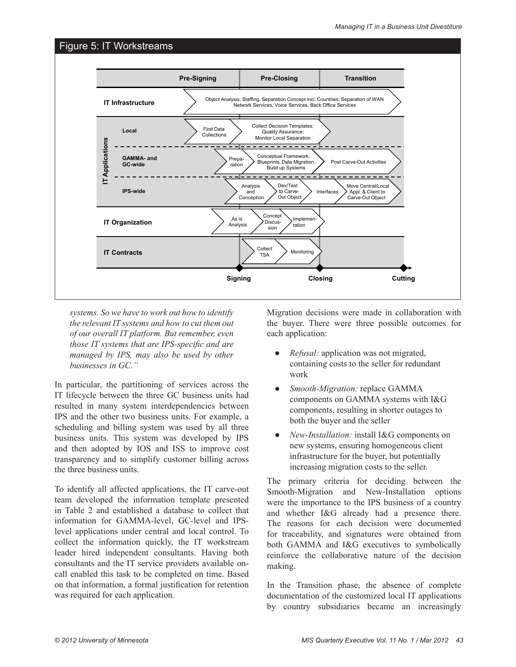

*systems. So we have to work out how to identify the relevant IT systems and how to cut them out of our overall IT platform. But remember, even those IT systems that are IPS-specific and are managed by IPS, may also be used by other businesses in GC."*

In particular, the partitioning of services across the IT lifecycle between the three GC business units had resulted in many system interdependencies between IPS and the other two business units. For example, a scheduling and billing system was used by all three business units. This system was developed by IPS and then adopted by IOS and ISS to improve cost transparency and to simplify customer billing across the three business units.

To identify all affected applications, the IT carve-out team developed the information template presented in Table 2 and established a database to collect that information for GAMMA-level, GC-level and IPSlevel applications under central and local control. To collect the information quickly, the IT workstream leader hired independent consultants. Having both consultants and the IT service providers available oncall enabled this task to be completed on time. Based on that information, a formal justification for retention was required for each application.

Migration decisions were made in collaboration with the buyer. There were three possible outcomes for each application:

- *Refusal:* application was not migrated, containing costs to the seller for redundant work
- **●** *Smooth-Migration:* replace GAMMA components on GAMMA systems with I&G components, resulting in shorter outages to both the buyer and the seller
- **●** *New-Installation:* install I&G components on new systems, ensuring homogeneous client infrastructure for the buyer, but potentially increasing migration costs to the seller.

The primary criteria for deciding between the Smooth-Migration and New-Installation options were the importance to the IPS business of a country and whether I&G already had a presence there. The reasons for each decision were documented for traceability, and signatures were obtained from both GAMMA and I&G executives to symbolically reinforce the collaborative nature of the decision making.

In the Transition phase, the absence of complete documentation of the customized local IT applications by country subsidiaries became an increasingly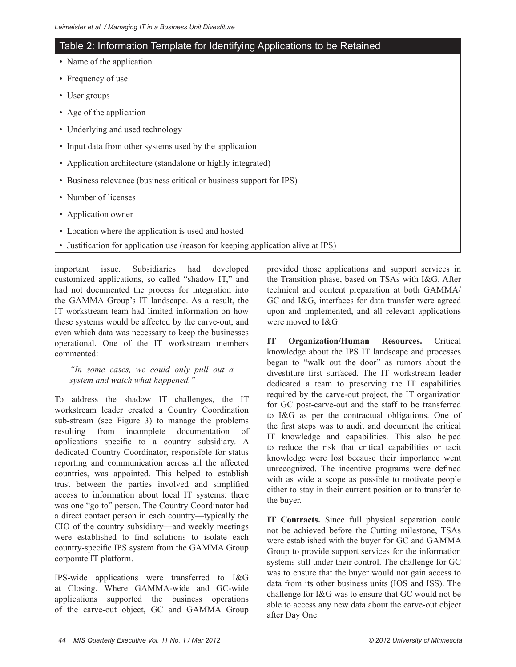## Table 2: Information Template for Identifying Applications to be Retained

- Name of the application
- Frequency of use
- User groups
- Age of the application
- Underlying and used technology
- Input data from other systems used by the application
- Application architecture (standalone or highly integrated)
- Business relevance (business critical or business support for IPS)
- Number of licenses
- Application owner
- Location where the application is used and hosted
- Justification for application use (reason for keeping application alive at IPS)

important issue. Subsidiaries had developed customized applications, so called "shadow IT," and had not documented the process for integration into the GAMMA Group's IT landscape. As a result, the IT workstream team had limited information on how these systems would be affected by the carve-out, and even which data was necessary to keep the businesses operational. One of the IT workstream members commented:

*"In some cases, we could only pull out a system and watch what happened."*

To address the shadow IT challenges, the IT workstream leader created a Country Coordination sub-stream (see Figure 3) to manage the problems resulting from incomplete documentation of applications specific to a country subsidiary. A dedicated Country Coordinator, responsible for status reporting and communication across all the affected countries, was appointed. This helped to establish trust between the parties involved and simplified access to information about local IT systems: there was one "go to" person. The Country Coordinator had a direct contact person in each country—typically the CIO of the country subsidiary—and weekly meetings were established to find solutions to isolate each country-specific IPS system from the GAMMA Group corporate IT platform.

IPS-wide applications were transferred to I&G at Closing. Where GAMMA-wide and GC-wide applications supported the business operations of the carve-out object, GC and GAMMA Group provided those applications and support services in the Transition phase, based on TSAs with I&G. After technical and content preparation at both GAMMA/ GC and I&G, interfaces for data transfer were agreed upon and implemented, and all relevant applications were moved to I&G.

**IT Organization/Human Resources.** Critical knowledge about the IPS IT landscape and processes began to "walk out the door" as rumors about the divestiture first surfaced. The IT workstream leader dedicated a team to preserving the IT capabilities required by the carve-out project, the IT organization for GC post-carve-out and the staff to be transferred to I&G as per the contractual obligations. One of the first steps was to audit and document the critical IT knowledge and capabilities. This also helped to reduce the risk that critical capabilities or tacit knowledge were lost because their importance went unrecognized. The incentive programs were defined with as wide a scope as possible to motivate people either to stay in their current position or to transfer to the buyer.

**IT Contracts.** Since full physical separation could not be achieved before the Cutting milestone, TSAs were established with the buyer for GC and GAMMA Group to provide support services for the information systems still under their control. The challenge for GC was to ensure that the buyer would not gain access to data from its other business units (IOS and ISS). The challenge for I&G was to ensure that GC would not be able to access any new data about the carve-out object after Day One.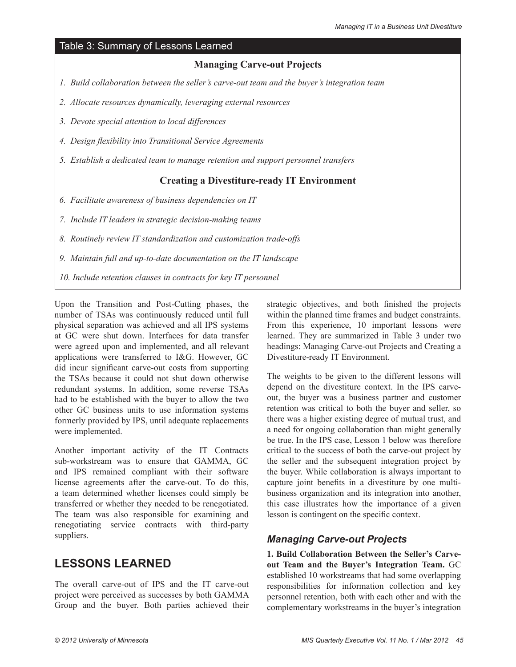## Table 3: Summary of Lessons Learned

### **Managing Carve-out Projects**

*1. Build collaboration between the seller's carve-out team and the buyer's integration team*

- *2. Allocate resources dynamically, leveraging external resources*
- *3. Devote special attention to local differences*
- *4. Design flexibility into Transitional Service Agreements*
- *5. Establish a dedicated team to manage retention and support personnel transfers*

## **Creating a Divestiture-ready IT Environment**

*6. Facilitate awareness of business dependencies on IT*

*7. Include IT leaders in strategic decision-making teams*

*8. Routinely review IT standardization and customization trade-offs*

*9. Maintain full and up-to-date documentation on the IT landscape*

*10. Include retention clauses in contracts for key IT personnel*

Upon the Transition and Post-Cutting phases, the number of TSAs was continuously reduced until full physical separation was achieved and all IPS systems at GC were shut down. Interfaces for data transfer were agreed upon and implemented, and all relevant applications were transferred to I&G. However, GC did incur significant carve-out costs from supporting the TSAs because it could not shut down otherwise redundant systems. In addition, some reverse TSAs had to be established with the buyer to allow the two other GC business units to use information systems formerly provided by IPS, until adequate replacements were implemented.

Another important activity of the IT Contracts sub-workstream was to ensure that GAMMA, GC and IPS remained compliant with their software license agreements after the carve-out. To do this, a team determined whether licenses could simply be transferred or whether they needed to be renegotiated. The team was also responsible for examining and renegotiating service contracts with third-party suppliers.

## **LESSONS LEARNED**

The overall carve-out of IPS and the IT carve-out project were perceived as successes by both GAMMA Group and the buyer. Both parties achieved their

strategic objectives, and both finished the projects within the planned time frames and budget constraints. From this experience, 10 important lessons were learned. They are summarized in Table 3 under two headings: Managing Carve-out Projects and Creating a Divestiture-ready IT Environment.

The weights to be given to the different lessons will depend on the divestiture context. In the IPS carveout, the buyer was a business partner and customer retention was critical to both the buyer and seller, so there was a higher existing degree of mutual trust, and a need for ongoing collaboration than might generally be true. In the IPS case, Lesson 1 below was therefore critical to the success of both the carve-out project by the seller and the subsequent integration project by the buyer. While collaboration is always important to capture joint benefits in a divestiture by one multibusiness organization and its integration into another, this case illustrates how the importance of a given lesson is contingent on the specific context.

## *Managing Carve-out Projects*

**1. Build Collaboration Between the Seller's Carveout Team and the Buyer's Integration Team.** GC established 10 workstreams that had some overlapping responsibilities for information collection and key personnel retention, both with each other and with the complementary workstreams in the buyer's integration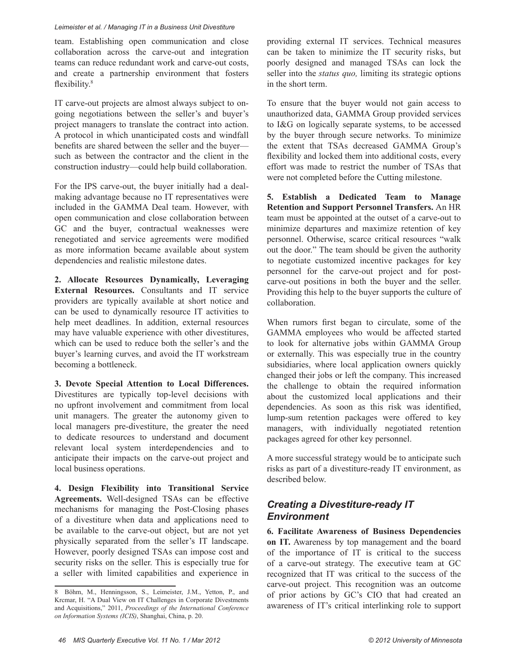#### *Leimeister et al. / Managing IT in a Business Unit Divestiture*

team. Establishing open communication and close collaboration across the carve-out and integration teams can reduce redundant work and carve-out costs, and create a partnership environment that fosters flexibility.<sup>8</sup>

IT carve-out projects are almost always subject to ongoing negotiations between the seller's and buyer's project managers to translate the contract into action. A protocol in which unanticipated costs and windfall benefits are shared between the seller and the buyer such as between the contractor and the client in the construction industry—could help build collaboration.

For the IPS carve-out, the buyer initially had a dealmaking advantage because no IT representatives were included in the GAMMA Deal team. However, with open communication and close collaboration between GC and the buyer, contractual weaknesses were renegotiated and service agreements were modified as more information became available about system dependencies and realistic milestone dates.

**2. Allocate Resources Dynamically, Leveraging External Resources.** Consultants and IT service providers are typically available at short notice and can be used to dynamically resource IT activities to help meet deadlines. In addition, external resources may have valuable experience with other divestitures, which can be used to reduce both the seller's and the buyer's learning curves, and avoid the IT workstream becoming a bottleneck.

**3. Devote Special Attention to Local Differences.** Divestitures are typically top-level decisions with no upfront involvement and commitment from local unit managers. The greater the autonomy given to local managers pre-divestiture, the greater the need to dedicate resources to understand and document relevant local system interdependencies and to anticipate their impacts on the carve-out project and local business operations.

**4. Design Flexibility into Transitional Service Agreements.** Well-designed TSAs can be effective mechanisms for managing the Post-Closing phases of a divestiture when data and applications need to be available to the carve-out object, but are not yet physically separated from the seller's IT landscape. However, poorly designed TSAs can impose cost and security risks on the seller. This is especially true for a seller with limited capabilities and experience in providing external IT services. Technical measures can be taken to minimize the IT security risks, but poorly designed and managed TSAs can lock the seller into the *status quo,* limiting its strategic options in the short term.

To ensure that the buyer would not gain access to unauthorized data, GAMMA Group provided services to I&G on logically separate systems, to be accessed by the buyer through secure networks. To minimize the extent that TSAs decreased GAMMA Group's flexibility and locked them into additional costs, every effort was made to restrict the number of TSAs that were not completed before the Cutting milestone.

**5. Establish a Dedicated Team to Manage Retention and Support Personnel Transfers.** An HR team must be appointed at the outset of a carve-out to minimize departures and maximize retention of key personnel. Otherwise, scarce critical resources "walk out the door." The team should be given the authority to negotiate customized incentive packages for key personnel for the carve-out project and for postcarve-out positions in both the buyer and the seller. Providing this help to the buyer supports the culture of collaboration.

When rumors first began to circulate, some of the GAMMA employees who would be affected started to look for alternative jobs within GAMMA Group or externally. This was especially true in the country subsidiaries, where local application owners quickly changed their jobs or left the company. This increased the challenge to obtain the required information about the customized local applications and their dependencies. As soon as this risk was identified, lump-sum retention packages were offered to key managers, with individually negotiated retention packages agreed for other key personnel.

A more successful strategy would be to anticipate such risks as part of a divestiture-ready IT environment, as described below.

## *Creating a Divestiture-ready IT Environment*

**6. Facilitate Awareness of Business Dependencies on IT.** Awareness by top management and the board of the importance of IT is critical to the success of a carve-out strategy. The executive team at GC recognized that IT was critical to the success of the carve-out project. This recognition was an outcome of prior actions by GC's CIO that had created an awareness of IT's critical interlinking role to support

<sup>8</sup> Böhm, M., Henningsson, S., Leimeister, J.M., Yetton, P., and Krcmar, H. "A Dual View on IT Challenges in Corporate Divestments and Acquisitions," 2011, *Proceedings of the International Conference on Information Systems (ICIS)*, Shanghai, China, p. 20.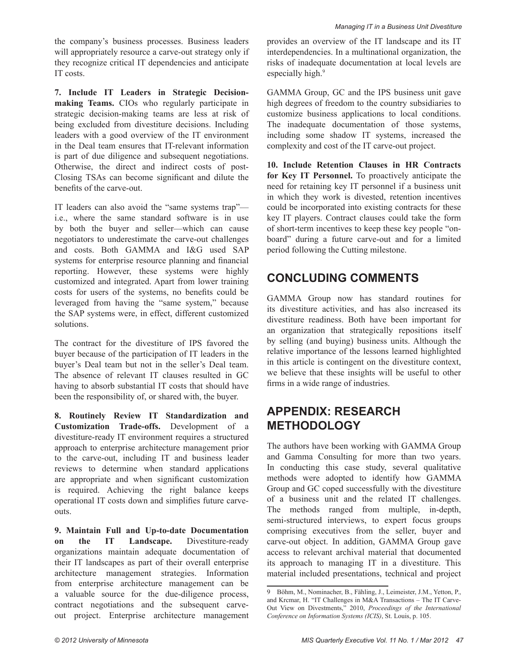the company's business processes. Business leaders will appropriately resource a carve-out strategy only if they recognize critical IT dependencies and anticipate IT costs.

**7. Include IT Leaders in Strategic Decisionmaking Teams.** CIOs who regularly participate in strategic decision-making teams are less at risk of being excluded from divestiture decisions. Including leaders with a good overview of the IT environment in the Deal team ensures that IT-relevant information is part of due diligence and subsequent negotiations. Otherwise, the direct and indirect costs of post-Closing TSAs can become significant and dilute the benefits of the carve-out.

IT leaders can also avoid the "same systems trap" i.e., where the same standard software is in use by both the buyer and seller—which can cause negotiators to underestimate the carve-out challenges and costs. Both GAMMA and I&G used SAP systems for enterprise resource planning and financial reporting. However, these systems were highly customized and integrated. Apart from lower training costs for users of the systems, no benefits could be leveraged from having the "same system," because the SAP systems were, in effect, different customized solutions.

The contract for the divestiture of IPS favored the buyer because of the participation of IT leaders in the buyer's Deal team but not in the seller's Deal team. The absence of relevant IT clauses resulted in GC having to absorb substantial IT costs that should have been the responsibility of, or shared with, the buyer.

**8. Routinely Review IT Standardization and Customization Trade-offs.** Development of a divestiture-ready IT environment requires a structured approach to enterprise architecture management prior to the carve-out, including IT and business leader reviews to determine when standard applications are appropriate and when significant customization is required. Achieving the right balance keeps operational IT costs down and simplifies future carveouts.

**9. Maintain Full and Up-to-date Documentation on the IT Landscape.** Divestiture-ready organizations maintain adequate documentation of their IT landscapes as part of their overall enterprise architecture management strategies. Information from enterprise architecture management can be a valuable source for the due-diligence process, contract negotiations and the subsequent carveout project. Enterprise architecture management

provides an overview of the IT landscape and its IT interdependencies. In a multinational organization, the risks of inadequate documentation at local levels are especially high.<sup>9</sup>

GAMMA Group, GC and the IPS business unit gave high degrees of freedom to the country subsidiaries to customize business applications to local conditions. The inadequate documentation of those systems, including some shadow IT systems, increased the complexity and cost of the IT carve-out project.

**10. Include Retention Clauses in HR Contracts for Key IT Personnel.** To proactively anticipate the need for retaining key IT personnel if a business unit in which they work is divested, retention incentives could be incorporated into existing contracts for these key IT players. Contract clauses could take the form of short-term incentives to keep these key people "onboard" during a future carve-out and for a limited period following the Cutting milestone.

# **CONCLUDING COMMENTS**

GAMMA Group now has standard routines for its divestiture activities, and has also increased its divestiture readiness. Both have been important for an organization that strategically repositions itself by selling (and buying) business units. Although the relative importance of the lessons learned highlighted in this article is contingent on the divestiture context, we believe that these insights will be useful to other firms in a wide range of industries.

# **APPENDIX: RESEARCH METHODOLOGY**

The authors have been working with GAMMA Group and Gamma Consulting for more than two years. In conducting this case study, several qualitative methods were adopted to identify how GAMMA Group and GC coped successfully with the divestiture of a business unit and the related IT challenges. The methods ranged from multiple, in-depth, semi-structured interviews, to expert focus groups comprising executives from the seller, buyer and carve-out object. In addition, GAMMA Group gave access to relevant archival material that documented its approach to managing IT in a divestiture. This material included presentations, technical and project

<sup>9</sup> Böhm, M., Nominacher, B., Fähling, J., Leimeister, J.M., Yetton, P., and Krcmar, H. "IT Challenges in M&A Transactions – The IT Carve-Out View on Divestments," 2010, *Proceedings of the International Conference on Information Systems (ICIS)*, St. Louis, p. 105.